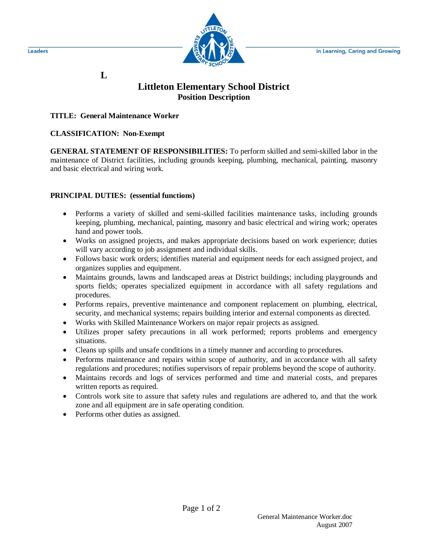

## **L**

# **Littleton Elementary School District Position Description**

#### **TITLE: General Maintenance Worker**

#### **CLASSIFICATION: Non-Exempt**

**GENERAL STATEMENT OF RESPONSIBILITIES:** To perform skilled and semi-skilled labor in the maintenance of District facilities, including grounds keeping, plumbing, mechanical, painting, masonry and basic electrical and wiring work.

#### **PRINCIPAL DUTIES: (essential functions)**

- Performs a variety of skilled and semi-skilled facilities maintenance tasks, including grounds keeping, plumbing, mechanical, painting, masonry and basic electrical and wiring work; operates hand and power tools.
- Works on assigned projects, and makes appropriate decisions based on work experience; duties will vary according to job assignment and individual skills.
- Follows basic work orders; identifies material and equipment needs for each assigned project, and organizes supplies and equipment.
- Maintains grounds, lawns and landscaped areas at District buildings; including playgrounds and sports fields; operates specialized equipment in accordance with all safety regulations and procedures.
- Performs repairs, preventive maintenance and component replacement on plumbing, electrical, security, and mechanical systems; repairs building interior and external components as directed.
- Works with Skilled Maintenance Workers on major repair projects as assigned.
- Utilizes proper safety precautions in all work performed; reports problems and emergency situations.
- Cleans up spills and unsafe conditions in a timely manner and according to procedures.

Page 1 of 2

- Performs maintenance and repairs within scope of authority, and in accordance with all safety regulations and procedures; notifies supervisors of repair problems beyond the scope of authority.
- Maintains records and logs of services performed and time and material costs, and prepares written reports as required.
- Controls work site to assure that safety rules and regulations are adhered to, and that the work zone and all equipment are in safe operating condition.
- Performs other duties as assigned.